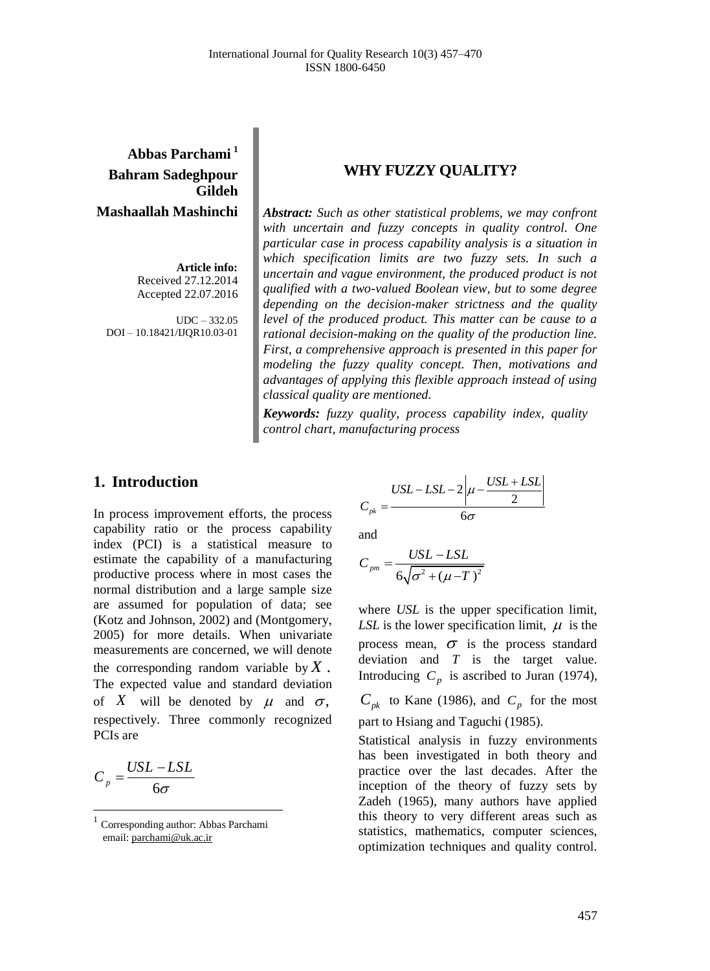# **Abbas Parchami <sup>1</sup> Bahram Sadeghpour Gildeh Mashaallah Mashinchi**

**Article info:** Received 27.12.2014 Accepted 22.07.2016

UDC – 332.05 DOI – 10.18421/IJQR10.03-01

## **WHY FUZZY QUALITY?**

*Abstract: Such as other statistical problems, we may confront with uncertain and fuzzy concepts in quality control. One particular case in process capability analysis is a situation in which specification limits are two fuzzy sets. In such a uncertain and vague environment, the produced product is not qualified with a two-valued Boolean view, but to some degree depending on the decision-maker strictness and the quality level of the produced product. This matter can be cause to a rational decision-making on the quality of the production line. First, a comprehensive approach is presented in this paper for modeling the fuzzy quality concept. Then, motivations and advantages of applying this flexible approach instead of using classical quality are mentioned.*

*Keywords: fuzzy quality, process capability index, quality control chart, manufacturing process*

## 1. **Introduction**

In process improvement efforts, the process capability ratio or the process capability index (PCI) is a statistical measure to estimate the capability of a manufacturing productive process where in most cases the normal distribution and a large sample size are assumed for population of data; see (Kotz and Johnson, 2002) and (Montgomery, 2005) for more details. When univariate measurements are concerned, we will denote the corresponding random variable by *X* . The expected value and standard deviation of X will be denoted by  $\mu$  and  $\sigma$ , respectively. Three commonly recognized PCIs are

$$
C_p = \frac{USL - LSL}{6\sigma}
$$

 $\overline{\phantom{a}}$ 

$$
C_{pk} = \frac{USL - LSL - 2\left|\mu - \frac{USL + LSL}{2}\right|}{6\sigma}
$$

and

$$
C_{pm} = \frac{USL - LSL}{6\sqrt{\sigma^2 + (\mu - T)^2}}
$$

where *USL* is the upper specification limit, LSL is the lower specification limit,  $\mu$  is the process mean,  $\sigma$  is the process standard deviation and *T* is the target value. Introducing  $C_p$  is ascribed to Juran (1974),

 $C_{pk}$  to Kane (1986), and  $C_p$  for the most part to Hsiang and Taguchi (1985).

Statistical analysis in fuzzy environments has been investigated in both theory and practice over the last decades. After the inception of the theory of fuzzy sets by Zadeh (1965), many authors have applied this theory to very different areas such as statistics, mathematics, computer sciences, optimization techniques and quality control.

<sup>1</sup> Corresponding author: Abbas Parchami email[: parchami@uk.ac.ir](mailto:parchami@uk.ac.ir)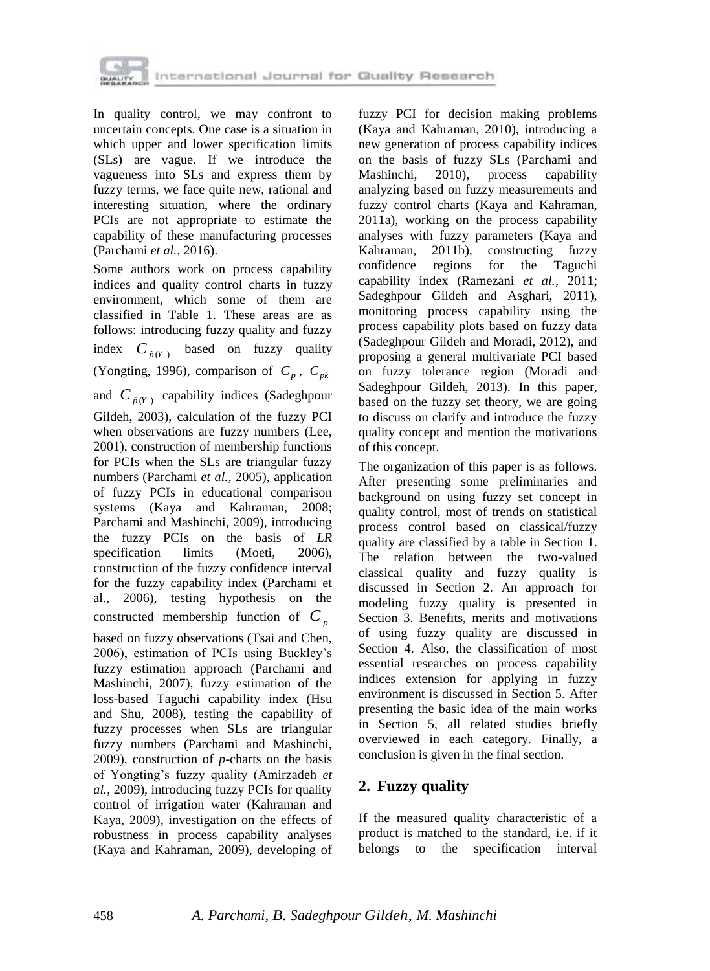

In quality control, we may confront to uncertain concepts. One case is a situation in which upper and lower specification limits (SLs) are vague. If we introduce the vagueness into SLs and express them by fuzzy terms, we face quite new, rational and interesting situation, where the ordinary PCIs are not appropriate to estimate the capability of these manufacturing processes (Parchami *et al.*, 2016).

Some authors work on process capability indices and quality control charts in fuzzy environment, which some of them are classified in Table 1. These areas are as follows: introducing fuzzy quality and fuzzy index  $C_{\tilde{p}(Y)}$  based on fuzzy quality (Yongting, 1996), comparison of  $C_p$ ,  $C_{pk}$ 

and  $C_{\tilde{p}(Y)}$  capability indices (Sadeghpour Gildeh, 2003), calculation of the fuzzy PCI when observations are fuzzy numbers (Lee, 2001), construction of membership functions for PCIs when the SLs are triangular fuzzy numbers (Parchami *et al.*, 2005), application of fuzzy PCIs in educational comparison systems (Kaya and Kahraman, 2008; Parchami and Mashinchi, 2009), introducing the fuzzy PCIs on the basis of *LR* specification limits (Moeti, 2006), construction of the fuzzy confidence interval for the fuzzy capability index (Parchami et al., 2006), testing hypothesis on the constructed membership function of *Cp*

based on fuzzy observations (Tsai and Chen, 2006), estimation of PCIs using Buckley's fuzzy estimation approach (Parchami and Mashinchi, 2007), fuzzy estimation of the loss-based Taguchi capability index (Hsu and Shu, 2008), testing the capability of fuzzy processes when SLs are triangular fuzzy numbers (Parchami and Mashinchi, 2009), construction of *p*-charts on the basis of Yongting's fuzzy quality (Amirzadeh *et al.*, 2009), introducing fuzzy PCIs for quality control of irrigation water (Kahraman and Kaya, 2009), investigation on the effects of robustness in process capability analyses (Kaya and Kahraman, 2009), developing of

fuzzy PCI for decision making problems (Kaya and Kahraman, 2010), introducing a new generation of process capability indices on the basis of fuzzy SLs (Parchami and Mashinchi, 2010), process capability analyzing based on fuzzy measurements and fuzzy control charts (Kaya and Kahraman, 2011a), working on the process capability analyses with fuzzy parameters (Kaya and Kahraman, 2011b), constructing fuzzy confidence regions for the Taguchi capability index (Ramezani *et al.*, 2011; Sadeghpour Gildeh and Asghari, 2011), monitoring process capability using the process capability plots based on fuzzy data (Sadeghpour Gildeh and Moradi, 2012), and proposing a general multivariate PCI based on fuzzy tolerance region (Moradi and Sadeghpour Gildeh, 2013). In this paper, based on the fuzzy set theory, we are going to discuss on clarify and introduce the fuzzy quality concept and mention the motivations of this concept.

The organization of this paper is as follows. After presenting some preliminaries and background on using fuzzy set concept in quality control, most of trends on statistical process control based on classical/fuzzy quality are classified by a table in Section 1. The relation between the two-valued classical quality and fuzzy quality is discussed in Section 2. An approach for modeling fuzzy quality is presented in Section 3. Benefits, merits and motivations of using fuzzy quality are discussed in Section 4. Also, the classification of most essential researches on process capability indices extension for applying in fuzzy environment is discussed in Section 5. After presenting the basic idea of the main works in Section 5, all related studies briefly overviewed in each category. Finally, a conclusion is given in the final section.

# **2. Fuzzy quality**

If the measured quality characteristic of a product is matched to the standard, i.e. if it belongs to the specification interval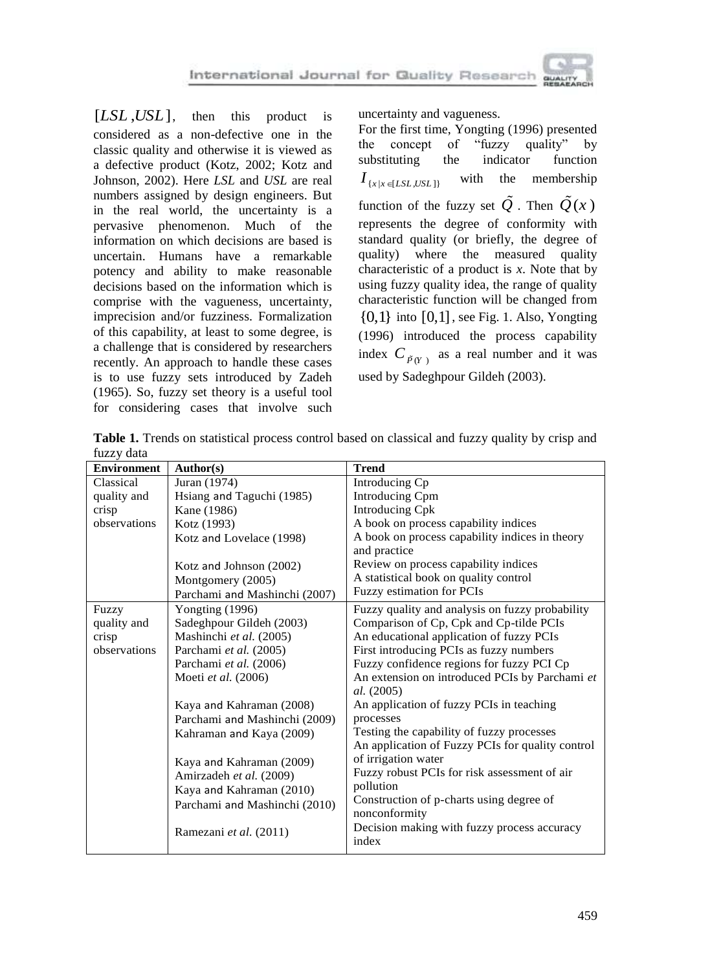uncertainty and vagueness.

**Table 1.** Trends on statistical process control based on classical and fuzzy quality by crisp and fuzzy data

|  |                                                                                                                                                 | $[LSL, USA]$ , then this product is              | uncertainty and vagueness.                                                                                                                              |
|--|-------------------------------------------------------------------------------------------------------------------------------------------------|--------------------------------------------------|---------------------------------------------------------------------------------------------------------------------------------------------------------|
|  |                                                                                                                                                 | considered as a non-defective one in the         | For the first time, Yongting (1996) presented                                                                                                           |
|  |                                                                                                                                                 | classic quality and otherwise it is viewed as    | of<br>"fuzzy<br>concept<br>quality"<br>by<br>the                                                                                                        |
|  |                                                                                                                                                 | a defective product (Kotz, 2002; Kotz and        | substituting<br>the<br>indicator<br>function                                                                                                            |
|  |                                                                                                                                                 | Johnson, 2002). Here LSL and USL are real        | with<br>the<br>membership<br>$I_{\{x\mid x\in [LSL,USL]\}}$                                                                                             |
|  |                                                                                                                                                 | numbers assigned by design engineers. But        |                                                                                                                                                         |
|  |                                                                                                                                                 | in the real world, the uncertainty is a          | function of the fuzzy set $\tilde{Q}$ . Then $\tilde{Q}(x)$                                                                                             |
|  |                                                                                                                                                 | pervasive phenomenon. Much of the                | represents the degree of conformity with                                                                                                                |
|  | information on which decisions are based is<br>uncertain. Humans<br>have a remarkable                                                           |                                                  | standard quality (or briefly, the degree of                                                                                                             |
|  |                                                                                                                                                 |                                                  | where<br>the<br>measured<br>quality<br>quality)                                                                                                         |
|  |                                                                                                                                                 | potency and ability to make reasonable           | characteristic of a product is $x$ . Note that by                                                                                                       |
|  | decisions based on the information which is                                                                                                     |                                                  | using fuzzy quality idea, the range of quality                                                                                                          |
|  |                                                                                                                                                 | comprise with the vagueness, uncertainty,        | characteristic function will be changed from                                                                                                            |
|  | imprecision and/or fuzziness. Formalization<br>of this capability, at least to some degree, is<br>a challenge that is considered by researchers |                                                  | $\{0,1\}$ into $[0,1]$ , see Fig. 1. Also, Yongting<br>(1996) introduced the process capability<br>index $C_{\tilde{P}(Y)}$ as a real number and it was |
|  |                                                                                                                                                 |                                                  |                                                                                                                                                         |
|  |                                                                                                                                                 |                                                  |                                                                                                                                                         |
|  |                                                                                                                                                 | recently. An approach to handle these cases      |                                                                                                                                                         |
|  |                                                                                                                                                 | is to use fuzzy sets introduced by Zadeh         | used by Sadeghpour Gildeh (2003).                                                                                                                       |
|  |                                                                                                                                                 | (1965). So, fuzzy set theory is a useful tool    |                                                                                                                                                         |
|  |                                                                                                                                                 | for considering cases that involve such          |                                                                                                                                                         |
|  |                                                                                                                                                 |                                                  |                                                                                                                                                         |
|  | fuzzy data                                                                                                                                      |                                                  | Table 1. Trends on statistical process control based on classical and fuzzy quality by crisp and                                                        |
|  | Environment                                                                                                                                     | Author(s)                                        | <b>Trend</b>                                                                                                                                            |
|  | Classical                                                                                                                                       | Juran (1974)                                     | Introducing Cp                                                                                                                                          |
|  | quality and                                                                                                                                     | Hsiang and Taguchi (1985)                        | <b>Introducing Cpm</b>                                                                                                                                  |
|  | crisp                                                                                                                                           | Kane (1986)                                      | <b>Introducing Cpk</b>                                                                                                                                  |
|  | observations                                                                                                                                    | Kotz (1993)                                      | A book on process capability indices                                                                                                                    |
|  |                                                                                                                                                 | Kotz and Lovelace (1998)                         | A book on process capability indices in theory                                                                                                          |
|  |                                                                                                                                                 |                                                  | and practice                                                                                                                                            |
|  |                                                                                                                                                 | Kotz and Johnson (2002)                          | Review on process capability indices<br>A statistical book on quality control                                                                           |
|  |                                                                                                                                                 | Montgomery (2005)                                | Fuzzy estimation for PCIs                                                                                                                               |
|  | Fuzzy                                                                                                                                           | Parchami and Mashinchi (2007)<br>Yongting (1996) | Fuzzy quality and analysis on fuzzy probability                                                                                                         |
|  | quality and                                                                                                                                     | Sadeghpour Gildeh (2003)                         | Comparison of Cp, Cpk and Cp-tilde PCIs                                                                                                                 |
|  | crisp                                                                                                                                           | Mashinchi et al. (2005)                          | An educational application of fuzzy PCIs                                                                                                                |
|  | observations                                                                                                                                    | Parchami et al. (2005)                           | First introducing PCIs as fuzzy numbers                                                                                                                 |
|  |                                                                                                                                                 | Parchami et al. (2006)                           | Fuzzy confidence regions for fuzzy PCI Cp                                                                                                               |
|  |                                                                                                                                                 | Moeti et al. (2006)                              | An extension on introduced PCIs by Parchami et                                                                                                          |
|  |                                                                                                                                                 |                                                  | al. (2005)                                                                                                                                              |
|  |                                                                                                                                                 | Kaya and Kahraman (2008)                         | An application of fuzzy PCIs in teaching                                                                                                                |
|  |                                                                                                                                                 | Parchami and Mashinchi (2009)                    | processes<br>Testing the capability of fuzzy processes                                                                                                  |
|  |                                                                                                                                                 | Kahraman and Kaya (2009)                         | An application of Fuzzy PCIs for quality control                                                                                                        |
|  |                                                                                                                                                 | Kaya and Kahraman (2009)                         | of irrigation water                                                                                                                                     |
|  |                                                                                                                                                 | Amirzadeh et al. (2009)                          | Fuzzy robust PCIs for risk assessment of air                                                                                                            |
|  |                                                                                                                                                 | Kaya and Kahraman (2010)                         | pollution                                                                                                                                               |
|  |                                                                                                                                                 | Parchami and Mashinchi (2010)                    | Construction of p-charts using degree of                                                                                                                |
|  |                                                                                                                                                 |                                                  | nonconformity                                                                                                                                           |
|  |                                                                                                                                                 | Ramezani et al. (2011)                           | Decision making with fuzzy process accuracy<br>index                                                                                                    |
|  |                                                                                                                                                 |                                                  |                                                                                                                                                         |
|  |                                                                                                                                                 |                                                  |                                                                                                                                                         |
|  |                                                                                                                                                 |                                                  |                                                                                                                                                         |
|  |                                                                                                                                                 |                                                  |                                                                                                                                                         |
|  |                                                                                                                                                 |                                                  |                                                                                                                                                         |
|  |                                                                                                                                                 |                                                  | 459                                                                                                                                                     |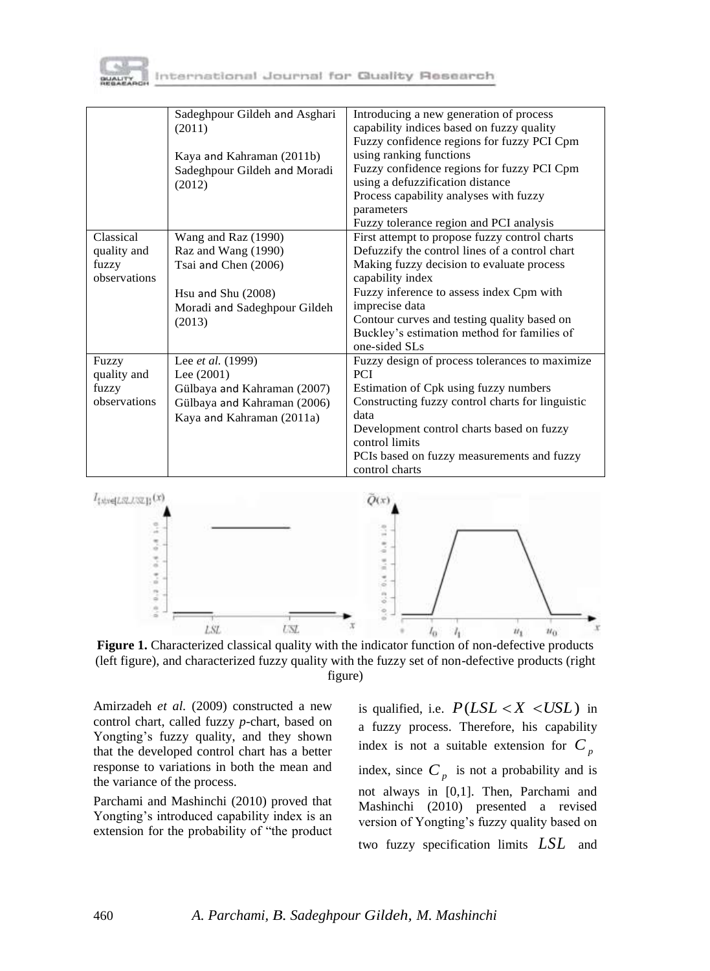

|              | Sadeghpour Gildeh and Asghari<br>(2011) | Introducing a new generation of process<br>capability indices based on fuzzy quality<br>Fuzzy confidence regions for fuzzy PCI Cpm |
|--------------|-----------------------------------------|------------------------------------------------------------------------------------------------------------------------------------|
|              | Kaya and Kahraman (2011b)               | using ranking functions                                                                                                            |
|              | Sadeghpour Gildeh and Moradi            | Fuzzy confidence regions for fuzzy PCI Cpm                                                                                         |
|              | (2012)                                  | using a defuzzification distance                                                                                                   |
|              |                                         | Process capability analyses with fuzzy                                                                                             |
|              |                                         | parameters                                                                                                                         |
|              |                                         | Fuzzy tolerance region and PCI analysis                                                                                            |
| Classical    | Wang and Raz (1990)                     | First attempt to propose fuzzy control charts                                                                                      |
| quality and  | Raz and Wang (1990)                     | Defuzzify the control lines of a control chart                                                                                     |
| fuzzy        | Tsai and Chen (2006)                    | Making fuzzy decision to evaluate process                                                                                          |
| observations |                                         | capability index                                                                                                                   |
|              | Hsu and Shu $(2008)$                    | Fuzzy inference to assess index Cpm with                                                                                           |
|              | Moradi and Sadeghpour Gildeh            | imprecise data                                                                                                                     |
|              | (2013)                                  | Contour curves and testing quality based on                                                                                        |
|              |                                         | Buckley's estimation method for families of                                                                                        |
|              |                                         | one-sided SLs                                                                                                                      |
| Fuzzy        | Lee et al. (1999)                       | Fuzzy design of process tolerances to maximize                                                                                     |
| quality and  | Lee $(2001)$                            | <b>PCI</b>                                                                                                                         |
| fuzzy        | Gülbaya and Kahraman (2007)             | Estimation of Cpk using fuzzy numbers                                                                                              |
| observations | Gülbaya and Kahraman (2006)             | Constructing fuzzy control charts for linguistic                                                                                   |
|              | Kaya and Kahraman (2011a)               | data                                                                                                                               |
|              |                                         | Development control charts based on fuzzy                                                                                          |
|              |                                         | control limits                                                                                                                     |
|              |                                         | PCIs based on fuzzy measurements and fuzzy                                                                                         |
|              |                                         | control charts                                                                                                                     |



**Figure 1.** Characterized classical quality with the indicator function of non-defective products (left figure), and characterized fuzzy quality with the fuzzy set of non-defective products (right figure)

Amirzadeh *et al.* (2009) constructed a new control chart, called fuzzy *p*-chart, based on Yongting's fuzzy quality, and they shown that the developed control chart has a better response to variations in both the mean and the variance of the process.

Parchami and Mashinchi (2010) proved that Yongting's introduced capability index is an extension for the probability of "the product

is qualified, i.e.  $P(LSL < X < USL)$  in a fuzzy process. Therefore, his capability index is not a suitable extension for  $C_p$ index, since  $C_p$  is not a probability and is not always in [0,1]. Then, Parchami and Mashinchi (2010) presented a revised version of Yongting's fuzzy quality based on two fuzzy specification limits *LSL* and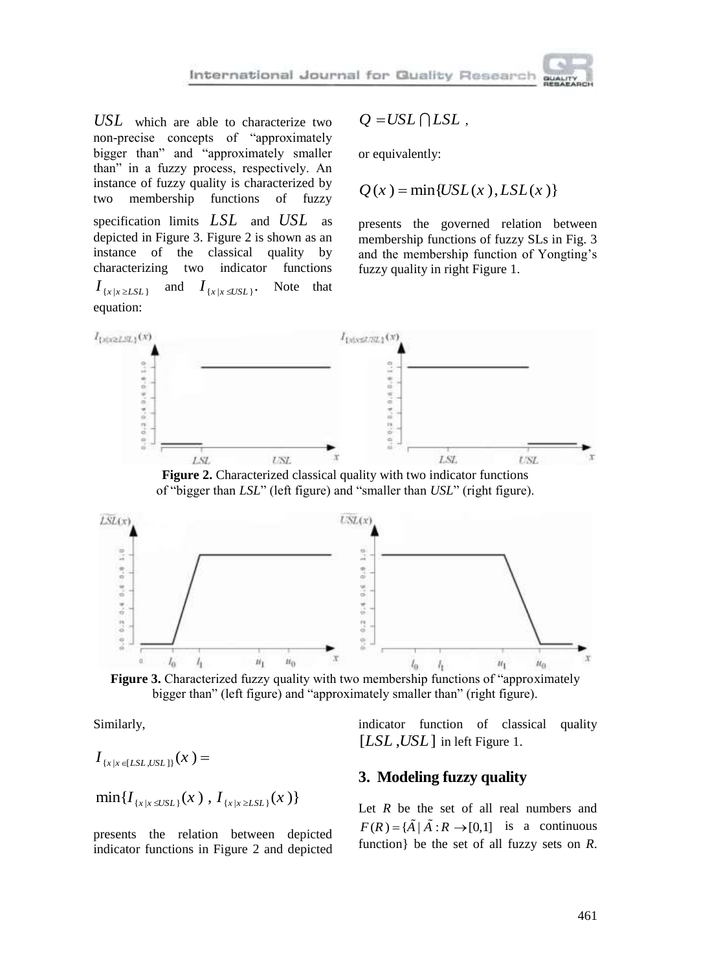$USL$  which are able to characterize two non-precise concepts of "approximately bigger than" and "approximately smaller than" in a fuzzy process, respectively. An instance of fuzzy quality is characterized by two membership functions of fuzzy

specification limits *LSL* and *USL* as depicted in Figure 3. Figure 2 is shown as an instance of the classical quality by characterizing two indicator functions characterizing two indicator functions  $I_{\{x\mid x\geq LSL\}}$ and  $I_{\{x|x\leq USL\}}$ . Note that equation:

$$
Q = USL \bigcap LSL \;,
$$

or equivalently:

$$
Q(x) = \min\{USL(x), LSL(x)\}\
$$

presents the governed relation between membership functions of fuzzy SLs in Fig. 3 and the membership function of Yongting's fuzzy quality in right Figure 1.



**Figure 2.** Characterized classical quality with two indicator functions of "bigger than *LSL*" (left figure) and "smaller than *USL*" (right figure).



**Figure 3.** Characterized fuzzy quality with two membership functions of "approximately" bigger than" (left figure) and "approximately smaller than" (right figure).

Similarly,

$$
I_{\{x\mid x\in [LSL,USL]\}}(x)=
$$

$$
\min\{I_{\{x|x\leq USL\}}(x)\,,\,I_{\{x|x\geq LSL\}}(x)\}\
$$

presents the relation between depicted indicator functions in Figure 2 and depicted indicator function of classical quality [LSL, USL] in left Figure 1.

## **3. Modeling fuzzy quality**

Let  $R$  be the set of all real numbers and  $F(R) = {\tilde{A} | \tilde{A}: R \rightarrow [0,1]}$  is a continuous function} be the set of all fuzzy sets on *R*.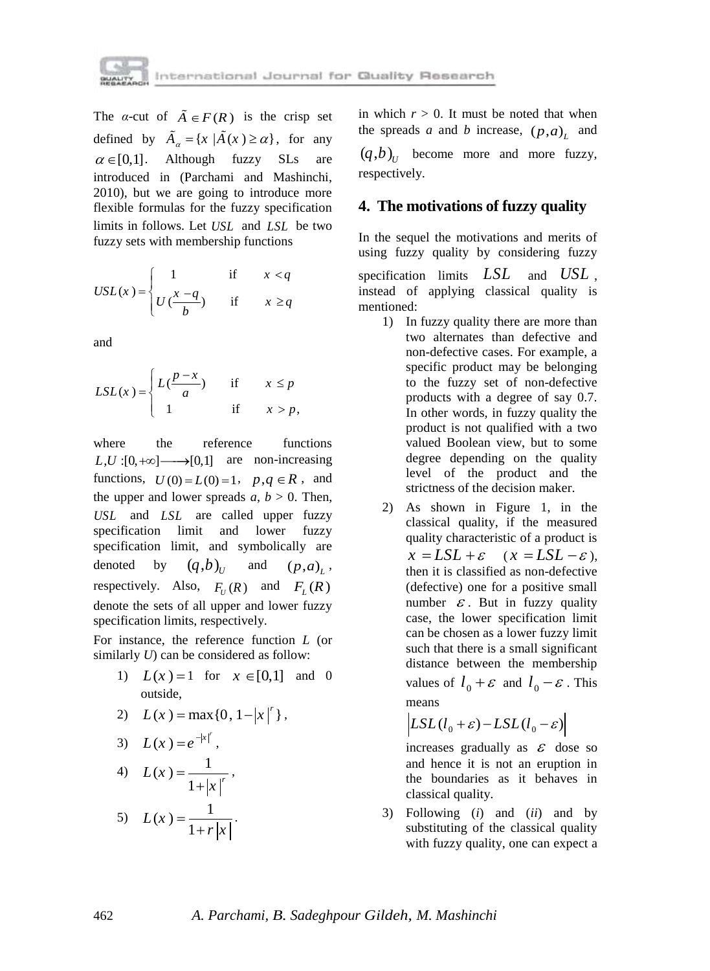

The *α*-cut of  $\tilde{A} \in F(R)$  is the crisp set defined by  $\tilde{A}_{\alpha} = \{x \mid \tilde{A}(x) \ge \alpha\},\$ for any  $\alpha \in [0,1]$ . Although fuzzy SLs are introduced in (Parchami and Mashinchi, 2010), but we are going to introduce more flexible formulas for the fuzzy specification limits in follows. Let *USL* and *LSL* be two fuzzy sets with membership functions

$$
USL(x) = \begin{cases} 1 & \text{if } x < q \\ U\left(\frac{x-q}{b}\right) & \text{if } x \ge q \end{cases}
$$

and

$$
LSL(x) = \begin{cases} L(\frac{p-x}{a}) & \text{if } x \le p \\ 1 & \text{if } x > p, \end{cases}
$$

where the reference functions  $L, U : [0, +\infty] \longrightarrow [0,1]$  are non-increasing functions,  $U(0) = L(0) = 1$ ,  $p, q \in R$ , and the upper and lower spreads  $a, b > 0$ . Then, *USL* and *LSL* are called upper fuzzy specification limit and lower fuzzy specification limit, and symbolically are denoted by  $(q,b)_{U}$ and  $(p, a)_L^{\mathstrut}$ respectively. Also,  $F_U(R)$  and  $F_L(R)$ denote the sets of all upper and lower fuzzy specification limits, respectively.

For instance, the reference function *L* (or similarly *U*) can be considered as follow:

> 1)  $L(x) = 1$  for  $x \in [0,1]$  and 0 outside,

2) 
$$
L(x) = max\{0, 1-|x|^r\},
$$

$$
3) \quad L(x) = e^{-|x|^r},
$$

4) 
$$
L(x) = \frac{1}{1+|x|^r}
$$
,

5) 
$$
L(x) = \frac{1}{1+r|x|}
$$
.

in which  $r > 0$ . It must be noted that when the spreads *a* and *b* increase,  $(p, a)$ <sub>*L*</sub> and  $(q,b)_U$  become more and more fuzzy, respectively.

# **4. The motivations of fuzzy quality**

In the sequel the motivations and merits of using fuzzy quality by considering fuzzy

specification limits *LSL* and *USL* , instead of applying classical quality is mentioned:

- 1) In fuzzy quality there are more than two alternates than defective and non-defective cases. For example, a specific product may be belonging to the fuzzy set of non-defective products with a degree of say 0.7. In other words, in fuzzy quality the product is not qualified with a two valued Boolean view, but to some degree depending on the quality level of the product and the strictness of the decision maker.
- 2) As shown in Figure 1, in the classical quality, if the measured quality characteristic of a product is  $x = LSL + \varepsilon \quad (x = LSL - \varepsilon),$ then it is classified as non-defective (defective) one for a positive small number  $\epsilon$ . But in fuzzy quality case, the lower specification limit can be chosen as a lower fuzzy limit such that there is a small significant distance between the membership values of  $l_0 + \varepsilon$  and  $l_0 - \varepsilon$ . This means

$$
\left| LSL(l_0 + \varepsilon) - LSL(l_0 - \varepsilon) \right|
$$

increases gradually as  $\epsilon$  dose so and hence it is not an eruption in the boundaries as it behaves in classical quality.

3) Following (*i*) and (*ii*) and by substituting of the classical quality with fuzzy quality, one can expect a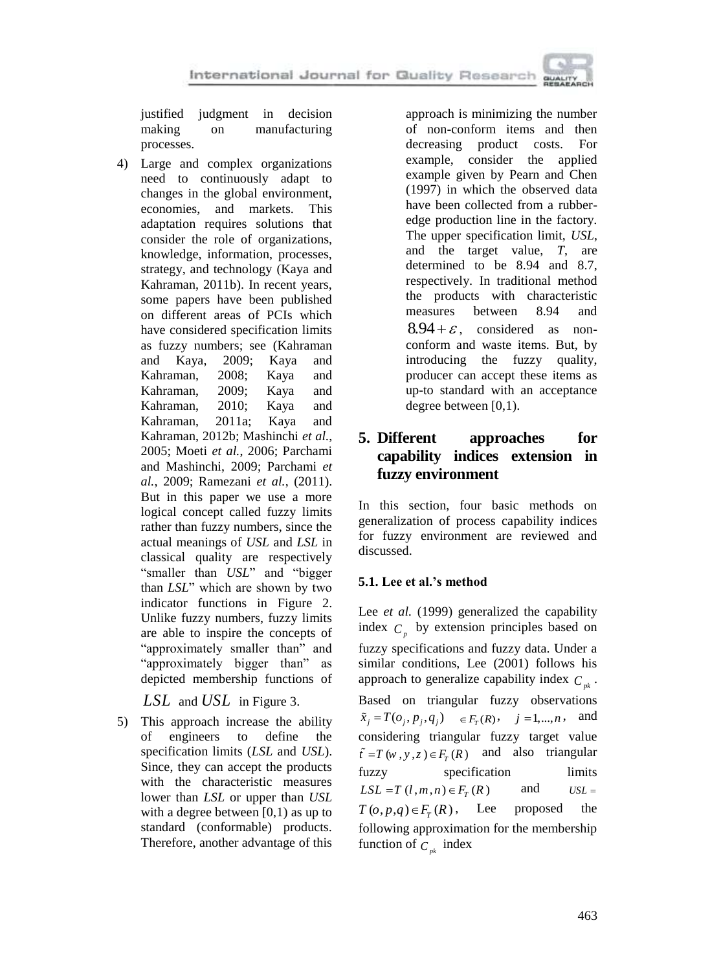### International Journal for Quality Research

justified judgment in decision making on manufacturing processes.

4) Large and complex organizations need to continuously adapt to changes in the global environment, economies, and markets. This adaptation requires solutions that consider the role of organizations, knowledge, information, processes, strategy, and technology (Kaya and Kahraman, 2011b). In recent years, some papers have been published on different areas of PCIs which have considered specification limits as fuzzy numbers; see (Kahraman and Kaya, 2009; Kaya and Kahraman, 2008; Kaya and Kahraman, 2009; Kaya and Kahraman, 2010; Kaya and Kahraman, 2011a; Kaya and Kahraman, 2012b; Mashinchi *et al.*, 2005; Moeti *et al.*, 2006; Parchami and Mashinchi, 2009; Parchami *et al.*, 2009; Ramezani *et al.*, (2011). But in this paper we use a more logical concept called fuzzy limits rather than fuzzy numbers, since the actual meanings of *USL* and *LSL* in classical quality are respectively "smaller than *USL*" and "bigger than *LSL*" which are shown by two indicator functions in Figure 2. Unlike fuzzy numbers, fuzzy limits are able to inspire the concepts of "approximately smaller than" and "approximately bigger than" as depicted membership functions of

*LSL* and *USL* in Figure 3.

5) This approach increase the ability of engineers to define the specification limits (*LSL* and *USL*). Since, they can accept the products with the characteristic measures lower than *LSL* or upper than *USL* with a degree between  $[0,1)$  as up to standard (conformable) products. Therefore, another advantage of this

approach is minimizing the number of non-conform items and then decreasing product costs. For example, consider the applied example given by Pearn and Chen (1997) in which the observed data have been collected from a rubberedge production line in the factory. The upper specification limit, *USL*, and the target value, *T*, are determined to be 8.94 and 8.7, respectively. In traditional method the products with characteristic measures between 8.94 and  $8.94 + \varepsilon$ , considered as nonconform and waste items. But, by introducing the fuzzy quality, producer can accept these items as up-to standard with an acceptance degree between [0,1).

# **5. Different approaches for capability indices extension in fuzzy environment**

In this section, four basic methods on generalization of process capability indices for fuzzy environment are reviewed and discussed.

## **5.1. Lee et al.'s method**

Lee *et al.* (1999) generalized the capability index  $C_p$  by extension principles based on fuzzy specifications and fuzzy data. Under a similar conditions, Lee (2001) follows his approach to generalize capability index  $C_{pk}$ . Based on triangular fuzzy observations  $\tilde{x}_j = T(o_j, p_j, q_j) \in F_T(R)$ ,  $j = 1,...,n$ , and considering triangular fuzzy target value  $\tilde{t} = T(w, y, z) \in F_T(R)$  and also triangular fuzzy specification limits  $LSL = T(l, m, n) \in F_T(R)$ and  $USL =$  $T(\rho, p, q) \in F_r(R)$ , Lee proposed the following approximation for the membership function of  $C_{pk}$  index

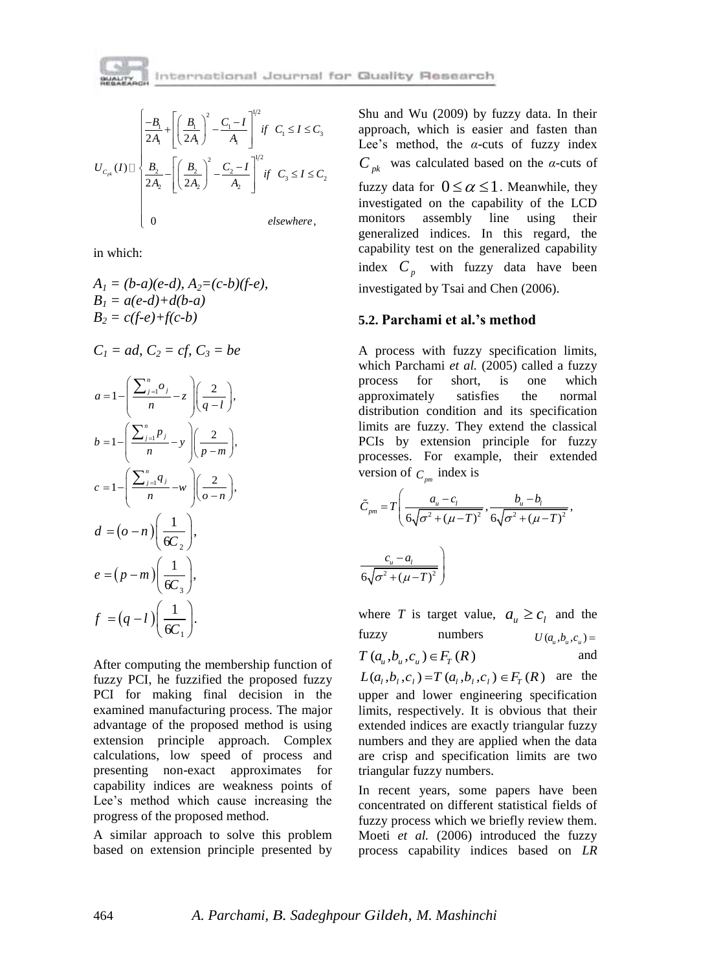

$$
U_{C_{\text{pk}}}(I) \Box \begin{cases} \frac{-B_1}{2A_1} + \left[ \left( \frac{B_1}{2A_1} \right)^2 - \frac{C_1 - I}{A_1} \right]^{1/2} & \text{if } C_1 \le I \le C_3 \\ \frac{B_2}{2A_2} - \left[ \left( \frac{B_2}{2A_2} \right)^2 - \frac{C_2 - I}{A_2} \right]^{1/2} & \text{if } C_3 \le I \le C_2 \\ 0 & \text{elsewhere,} \end{cases}
$$

in which:

$$
A_1 = (b-a)(e-d), A_2 = (c-b)(f-e), B_1 = a(e-d)+d(b-a) B_2 = c(f-e)+f(c-b)
$$

$$
C_1 = ad, C_2 = cf, C_3 = be
$$

$$
a = 1 - \left(\frac{\sum_{j=1}^{n} o_j}{n} - z\right) \left(\frac{2}{q-l}\right),
$$
  
\n
$$
b = 1 - \left(\frac{\sum_{j=1}^{n} p_j}{n} - y\right) \left(\frac{2}{p-m}\right),
$$
  
\n
$$
c = 1 - \left(\frac{\sum_{j=1}^{n} q_j}{n} - w\right) \left(\frac{2}{o-n}\right),
$$
  
\n
$$
d = (o - n) \left(\frac{1}{6C_2}\right),
$$
  
\n
$$
e = (p - m) \left(\frac{1}{6C_3}\right),
$$
  
\n
$$
f = (q - l) \left(\frac{1}{6C_1}\right).
$$

After computing the membership function of fuzzy PCI, he fuzzified the proposed fuzzy PCI for making final decision in the examined manufacturing process. The major advantage of the proposed method is using extension principle approach. Complex calculations, low speed of process and presenting non-exact approximates for capability indices are weakness points of Lee's method which cause increasing the progress of the proposed method.

A similar approach to solve this problem based on extension principle presented by Shu and Wu (2009) by fuzzy data. In their approach, which is easier and fasten than Lee's method, the *α*-cuts of fuzzy index *Cpk* was calculated based on the *α*-cuts of fuzzy data for  $0 \le \alpha \le 1$ . Meanwhile, they investigated on the capability of the LCD monitors assembly line using their generalized indices. In this regard, the capability test on the generalized capability index  $C_p$  with fuzzy data have been investigated by Tsai and Chen (2006).

## **5.2. Parchami et al.'s method**

A process with fuzzy specification limits, which Parchami *et al.* (2005) called a fuzzy process for short, is one which approximately satisfies the normal distribution condition and its specification limits are fuzzy. They extend the classical PCIs by extension principle for fuzzy processes. For example, their extended

version of 
$$
C_{pm}
$$
 index is  
\n
$$
\tilde{C}_{pm} = T \left( \frac{a_u - c_l}{6\sqrt{\sigma^2 + (\mu - T)^2}}, \frac{b_u - b_l}{6\sqrt{\sigma^2 + (\mu - T)^2}}, \frac{c_u - a_l}{6\sqrt{\sigma^2 + (\mu - T)^2}} \right)
$$

where *T* is target value,  $a_u \ge c_l$  and the fuzzy numbers  $U(a_{u}, b_{u}, c_{u}) =$ 

$$
T\left(a_{u}, b_{u}, c_{u}\right) \in F_{T}(R)
$$
 and

 $L(a_1, b_1, c_1) = T(a_1, b_1, c_1) \in F_T(R)$  are the upper and lower engineering specification limits, respectively. It is obvious that their extended indices are exactly triangular fuzzy numbers and they are applied when the data are crisp and specification limits are two triangular fuzzy numbers.

In recent years, some papers have been concentrated on different statistical fields of fuzzy process which we briefly review them. Moeti *et al.* (2006) introduced the fuzzy process capability indices based on *LR*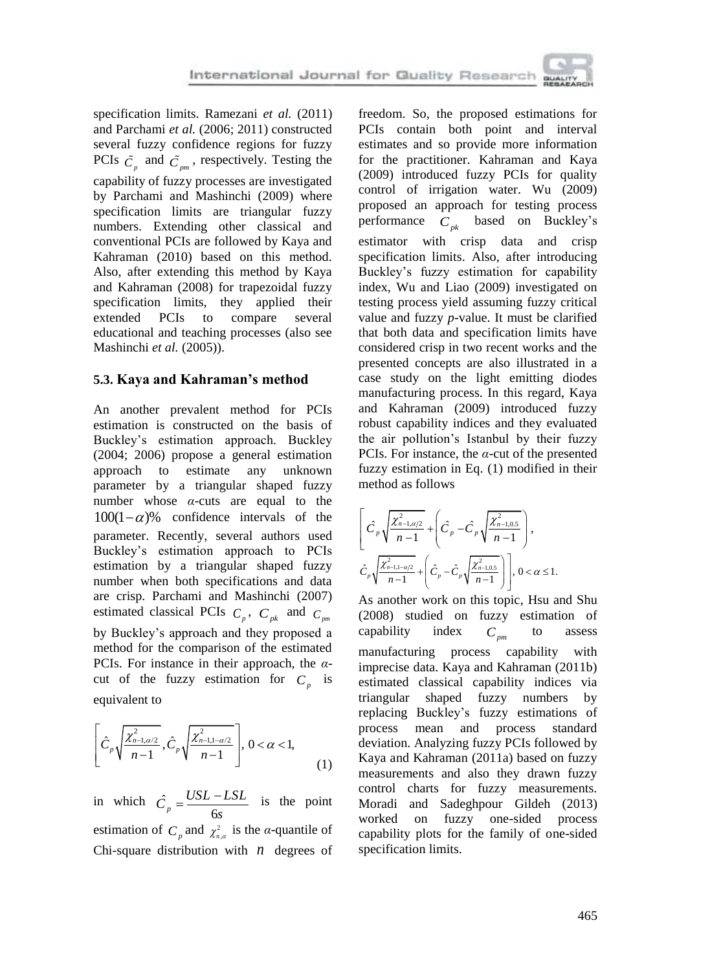specification limits. Ramezani *et al.* (2011) and Parchami *et al.* (2006; 2011) constructed several fuzzy confidence regions for fuzzy PCIs  $\tilde{C}_p$  and  $\tilde{C}_{pm}$ , respectively. Testing the capability of fuzzy processes are investigated by Parchami and Mashinchi (2009) where specification limits are triangular fuzzy numbers. Extending other classical and conventional PCIs are followed by Kaya and Kahraman (2010) based on this method. Also, after extending this method by Kaya and Kahraman (2008) for trapezoidal fuzzy specification limits, they applied their extended PCIs to compare several educational and teaching processes (also see Mashinchi *et al.* (2005)).

# **5.3. Kaya and Kahraman's method**

An another prevalent method for PCIs estimation is constructed on the basis of Buckley's estimation approach. Buckley (2004; 2006) propose a general estimation approach to estimate any unknown parameter by a triangular shaped fuzzy number whose *α*-cuts are equal to the  $100(1-\alpha)$ % confidence intervals of the parameter. Recently, several authors used Buckley's estimation approach to PCIs estimation by a triangular shaped fuzzy number when both specifications and data are crisp. Parchami and Mashinchi (2007) estimated classical PCIs  $C_p$ ,  $C_{pk}$  and  $C_{pm}$ by Buckley's approach and they proposed a method for the comparison of the estimated PCIs. For instance in their approach, the *α*cut of the fuzzy estimation for  $C_p$  is equivalent to

$$
\left[\hat{C}_p \sqrt{\frac{\chi^2_{n-1,\alpha/2}}{n-1}}, \hat{C}_p \sqrt{\frac{\chi^2_{n-1,1-\alpha/2}}{n-1}}\right], 0 < \alpha < 1,
$$
\n(1)

in which  $\hat{C}$  $\hat{C}_p = \frac{USL - LSL}{6s}$  $=\frac{USL-LSL}{I}$  is the point estimation of  $C_p$  and  $\chi^2_{n,q}$  is the *α*-quantile of Chi-square distribution with  $n$  degrees of freedom. So, the proposed estimations for PCIs contain both point and interval estimates and so provide more information for the practitioner. Kahraman and Kaya (2009) introduced fuzzy PCIs for quality control of irrigation water. Wu (2009) proposed an approach for testing process performance *Cpk* based on Buckley's estimator with crisp data and crisp specification limits. Also, after introducing Buckley's fuzzy estimation for capability index, Wu and Liao (2009) investigated on testing process yield assuming fuzzy critical value and fuzzy *p*-value. It must be clarified that both data and specification limits have considered crisp in two recent works and the presented concepts are also illustrated in a case study on the light emitting diodes manufacturing process. In this regard, Kaya and Kahraman (2009) introduced fuzzy robust capability indices and they evaluated the air pollution's Istanbul by their fuzzy PCIs. For instance, the *α*-cut of the presented fuzzy estimation in Eq. (1) modified in their method as follows

$$
\left[ \hat{C}_p \sqrt{\frac{\chi^2_{n-1,\alpha/2}}{n-1}} + \left( \hat{C}_p - \hat{C}_p \sqrt{\frac{\chi^2_{n-1,0.5}}{n-1}} \right), \right]
$$
\n
$$
\hat{C}_p \sqrt{\frac{\chi^2_{n-1,1-\alpha/2}}{n-1}} + \left( \hat{C}_p - \hat{C}_p \sqrt{\frac{\chi^2_{n-1,0.5}}{n-1}} \right), 0 < \alpha \le 1.
$$

As another work on this topic, Hsu and Shu (2008) studied on fuzzy estimation of capability index  $C_{pm}$ to assess manufacturing process capability with imprecise data. Kaya and Kahraman (2011b) estimated classical capability indices via triangular shaped fuzzy numbers by replacing Buckley's fuzzy estimations of process mean and process standard deviation. Analyzing fuzzy PCIs followed by Kaya and Kahraman (2011a) based on fuzzy measurements and also they drawn fuzzy control charts for fuzzy measurements. Moradi and Sadeghpour Gildeh (2013) worked on fuzzy one-sided process capability plots for the family of one-sided specification limits.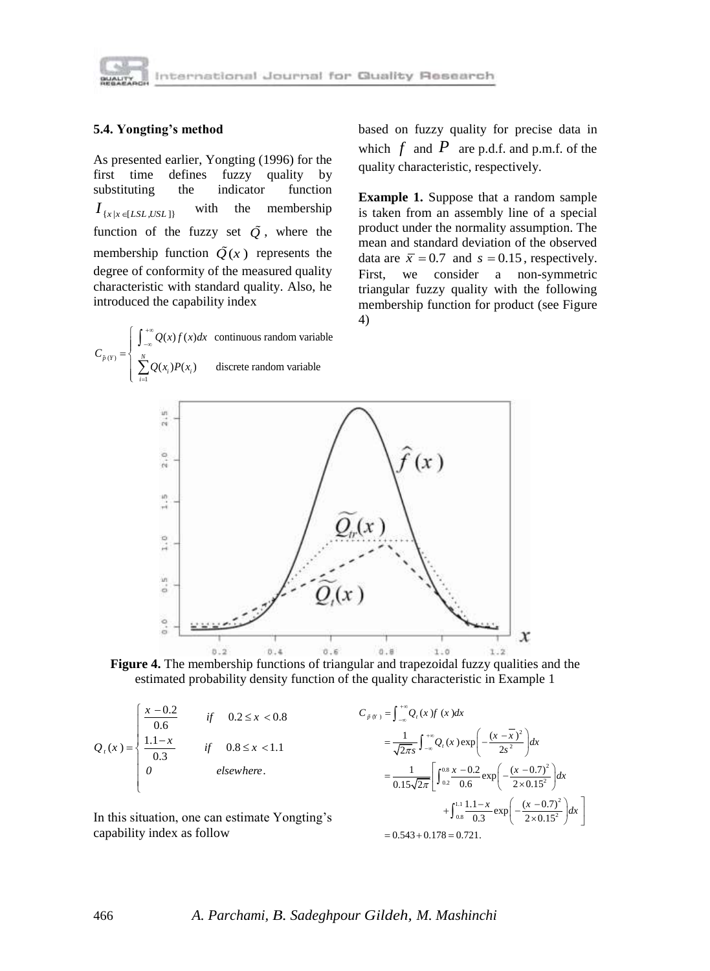

### **5.4. Yongting's method**

 $(Y)$ 

 $C_{\tilde{n}}$ 

1

Σ

 $=$ 

 $\left| \right|$  $=\Big\{$  $\left\lfloor$ 

J.

 $\sum_{i=1}^{N} Q(x_i) P(x_i)$ 

 $+\infty$  $-\infty$ 

 $Q(x_i)P(x_i)$ 

As presented earlier, Yongting (1996) for the first time defines fuzzy quality by substituting the indicator function  $I_{\{x \mid x \in [LSL, USA]\}}$ with the membership function of the fuzzy set  $\tilde{Q}$ , where the membership function  $\tilde{Q}(x)$  represents the degree of conformity of the measured quality characteristic with standard quality. Also, he introduced the capability index  $(x) f(x) dx$  continuous random variable  $Q(x) f(x) dx$ 

 $\vec{p}(Y) = \begin{cases} \n\int_{-\infty}^{\infty} \sum_{i=1}^{N} Q(x_i) P(x_i) \n\end{cases}$  discrete random variable

based on fuzzy quality for precise data in which  $f$  and  $P$  are p.d.f. and p.m.f. of the quality characteristic, respectively.

**Example 1.** Suppose that a random sample is taken from an assembly line of a special product under the normality assumption. The mean and standard deviation of the observed data are  $\bar{x} = 0.7$  and  $s = 0.15$ , respectively. First, we consider a non-symmetric triangular fuzzy quality with the following membership function for product (see Figure 4)



**Figure 4.** The membership functions of triangular and trapezoidal fuzzy qualities and the estimated probability density function of the quality characteristic in Example 1

$$
Q_{t}(x) = \begin{cases} \frac{x - 0.2}{0.6} & \text{if } 0.2 \leq x < 0.8\\ \frac{1.1 - x}{0.3} & \text{if } 0.8 \leq x < 1.1\\ 0 & \text{elsewhere.} \end{cases}
$$

In this situation, one can estimate Yongting's capability index as follow

$$
C_{\hat{p}(y)} = \int_{-\infty}^{+\infty} Q_t(x) f(x) dx
$$
  
=  $\frac{1}{\sqrt{2\pi s}} \int_{-\infty}^{+\infty} Q_t(x) \exp\left(-\frac{(x-\overline{x})^2}{2s^2}\right) dx$   
=  $\frac{1}{0.15\sqrt{2\pi}} \left[ \int_{0.2}^{0.8} \frac{x-0.2}{0.6} \exp\left(-\frac{(x-0.7)^2}{2 \times 0.15^2}\right) dx + \int_{0.8}^{1.1} \frac{1.1-x}{0.3} \exp\left(-\frac{(x-0.7)^2}{2 \times 0.15^2}\right) dx \right]$   
= 0.543 + 0.178 = 0.721.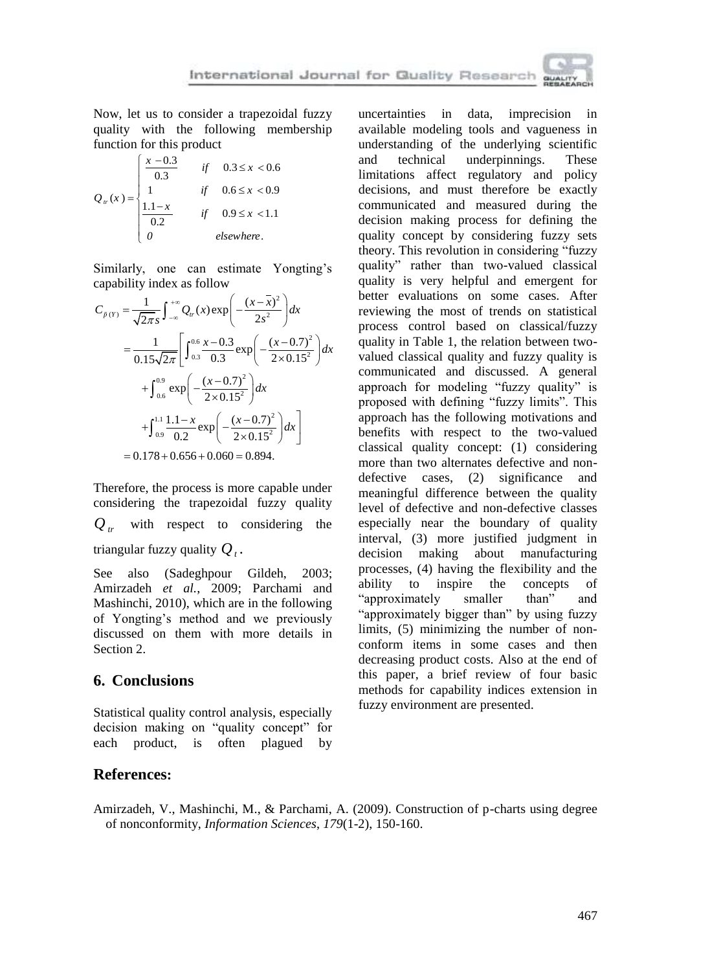Now, let us to consider a trapezoidal fuzzy quality with the following membership function for this product

$$
Q_{w}(x) = \begin{cases} \frac{x - 0.3}{0.3} & \text{if } 0.3 \leq x < 0.6 \\ 1 & \text{if } 0.6 \leq x < 0.9 \\ \frac{1.1 - x}{0.2} & \text{if } 0.9 \leq x < 1.1 \\ 0 & \text{elsewhere.} \end{cases}
$$

Similarly, one can estimate Yongting's

capability index as follow  
\n
$$
C_{\tilde{p}(Y)} = \frac{1}{\sqrt{2\pi s}} \int_{-\infty}^{+\infty} Q_{rr}(x) \exp\left(-\frac{(x-\overline{x})^2}{2s^2}\right) dx
$$
\n
$$
= \frac{1}{0.15\sqrt{2\pi}} \left[ \int_{0.3}^{0.6} \frac{x - 0.3}{0.3} \exp\left(-\frac{(x - 0.7)^2}{2 \times 0.15^2}\right) dx + \int_{0.6}^{0.9} \exp\left(-\frac{(x - 0.7)^2}{2 \times 0.15^2}\right) dx + \int_{0.9}^{1.1} \frac{1.1 - x}{0.2} \exp\left(-\frac{(x - 0.7)^2}{2 \times 0.15^2}\right) dx \right]
$$
\n
$$
= 0.178 + 0.656 + 0.060 = 0.894.
$$

Therefore, the process is more capable under considering the trapezoidal fuzzy quality  $Q_{tr}$  with respect to considering the triangular fuzzy quality  $Q_t$ .

See also (Sadeghpour Gildeh, 2003; Amirzadeh *et al.*, 2009; Parchami and Mashinchi, 2010), which are in the following of Yongting's method and we previously discussed on them with more details in Section 2.

## **6. Conclusions**

Statistical quality control analysis, especially decision making on "quality concept" for each product, is often plagued by

uncertainties in data, imprecision in available modeling tools and vagueness in understanding of the underlying scientific and technical underpinnings. These limitations affect regulatory and policy decisions, and must therefore be exactly communicated and measured during the decision making process for defining the quality concept by considering fuzzy sets theory. This revolution in considering "fuzzy quality" rather than two-valued classical quality is very helpful and emergent for better evaluations on some cases. After reviewing the most of trends on statistical process control based on classical/fuzzy quality in Table 1, the relation between twovalued classical quality and fuzzy quality is communicated and discussed. A general approach for modeling "fuzzy quality" is proposed with defining "fuzzy limits". This approach has the following motivations and benefits with respect to the two-valued classical quality concept: (1) considering more than two alternates defective and nondefective cases, (2) significance and meaningful difference between the quality level of defective and non-defective classes especially near the boundary of quality interval, (3) more justified judgment in decision making about manufacturing processes, (4) having the flexibility and the ability to inspire the concepts of "approximately smaller than" and "approximately bigger than" by using fuzzy limits, (5) minimizing the number of nonconform items in some cases and then decreasing product costs. Also at the end of this paper, a brief review of four basic methods for capability indices extension in fuzzy environment are presented.

## **References:**

Amirzadeh, V., Mashinchi, M., & Parchami, A. (2009). Construction of p-charts using degree of nonconformity, *Information Sciences*, *179*(1-2), 150-160.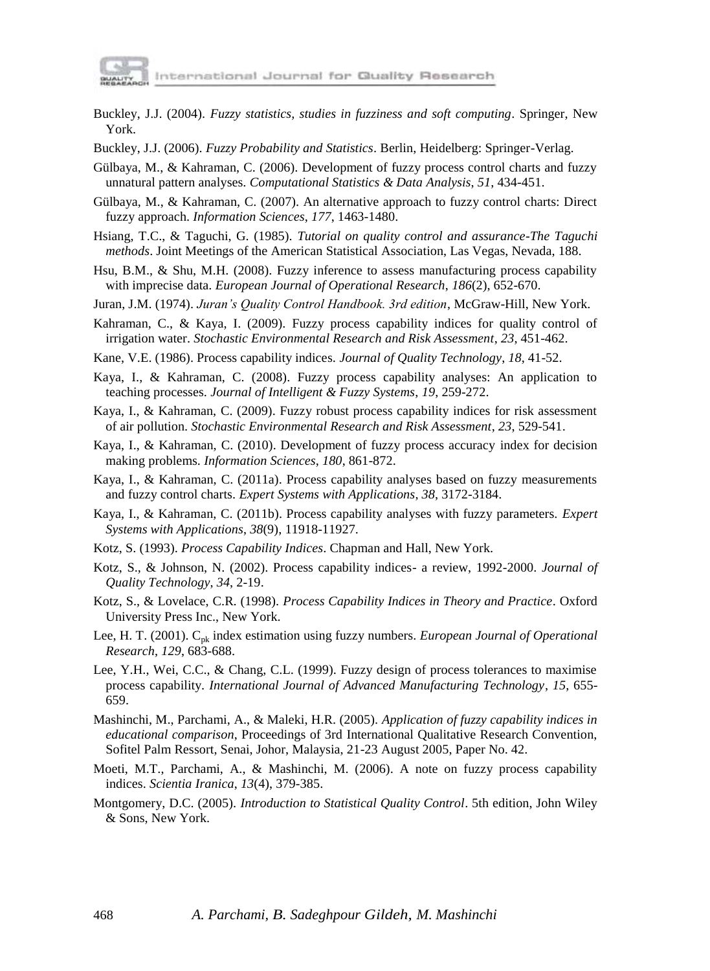

- Buckley, J.J. (2004). *Fuzzy statistics, studies in fuzziness and soft computing*. Springer, New York.
- Buckley, J.J. (2006). *Fuzzy Probability and Statistics*. Berlin, Heidelberg: Springer-Verlag.
- Gülbaya, M., & Kahraman, C. (2006). Development of fuzzy process control charts and fuzzy unnatural pattern analyses. *Computational Statistics & Data Analysis*, *51*, 434-451.
- Gülbaya, M., & Kahraman, C. (2007). An alternative approach to fuzzy control charts: Direct fuzzy approach. *Information Sciences*, *177*, 1463-1480.
- Hsiang, T.C., & Taguchi, G. (1985). *Tutorial on quality control and assurance-The Taguchi methods*. Joint Meetings of the American Statistical Association, Las Vegas, Nevada, 188.
- Hsu, B.M., & Shu, M.H. (2008). Fuzzy inference to assess manufacturing process capability with imprecise data. *European Journal of Operational Research*, *186*(2), 652-670.
- Juran, J.M. (1974). *Juran's Quality Control Handbook. 3rd edition*, McGraw-Hill, New York.
- Kahraman, C., & Kaya, I. (2009). Fuzzy process capability indices for quality control of irrigation water. *Stochastic Environmental Research and Risk Assessment*, *23*, 451-462.
- Kane, V.E. (1986). Process capability indices. *Journal of Quality Technology*, *18*, 41-52.
- Kaya, I., & Kahraman, C. (2008). Fuzzy process capability analyses: An application to teaching processes. *Journal of Intelligent & Fuzzy Systems*, *19*, 259-272.
- Kaya, I., & Kahraman, C. (2009). Fuzzy robust process capability indices for risk assessment of air pollution. *Stochastic Environmental Research and Risk Assessment*, *23*, 529-541.
- Kaya, I., & Kahraman, C. (2010). Development of fuzzy process accuracy index for decision making problems. *Information Sciences*, *180*, 861-872.
- Kaya, I., & Kahraman, C. (2011a). Process capability analyses based on fuzzy measurements and fuzzy control charts. *Expert Systems with Applications*, *38*, 3172-3184.
- Kaya, I., & Kahraman, C. (2011b). Process capability analyses with fuzzy parameters. *Expert Systems with Applications*, *38*(9), 11918-11927.
- Kotz, S. (1993). *Process Capability Indices*. Chapman and Hall, New York.
- Kotz, S., & Johnson, N. (2002). Process capability indices- a review, 1992-2000. *Journal of Quality Technology*, *34*, 2-19.
- Kotz, S., & Lovelace, C.R. (1998). *Process Capability Indices in Theory and Practice*. Oxford University Press Inc., New York.
- Lee, H. T. (2001). Cpk index estimation using fuzzy numbers. *European Journal of Operational Research*, *129*, 683-688.
- Lee, Y.H., Wei, C.C., & Chang, C.L. (1999). Fuzzy design of process tolerances to maximise process capability. *International Journal of Advanced Manufacturing Technology*, *15*, 655- 659.
- Mashinchi, M., Parchami, A., & Maleki, H.R. (2005). *Application of fuzzy capability indices in educational comparison*, Proceedings of 3rd International Qualitative Research Convention, Sofitel Palm Ressort, Senai, Johor, Malaysia, 21-23 August 2005, Paper No. 42.
- Moeti, M.T., Parchami, A., & Mashinchi, M. (2006). A note on fuzzy process capability indices. *Scientia Iranica*, *13*(4), 379-385.
- Montgomery, D.C. (2005). *Introduction to Statistical Quality Control*. 5th edition, John Wiley & Sons, New York.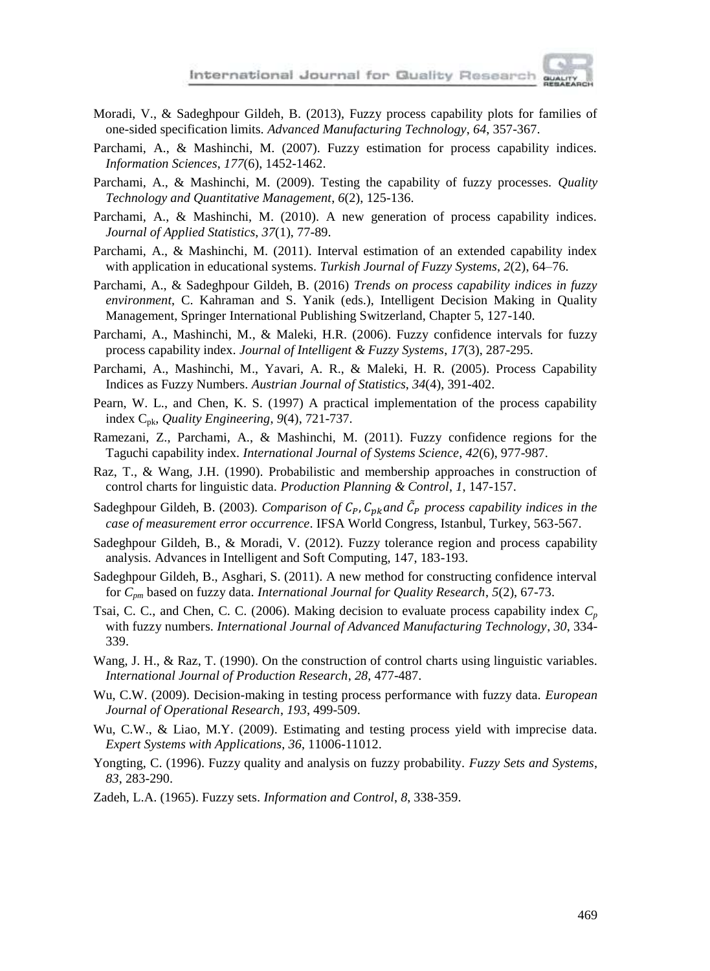

- Moradi, V., & Sadeghpour Gildeh, B. (2013), Fuzzy process capability plots for families of one-sided specification limits. *Advanced Manufacturing Technology*, *64*, 357-367.
- Parchami, A., & Mashinchi, M. (2007). Fuzzy estimation for process capability indices. *Information Sciences*, *177*(6), 1452-1462.
- Parchami, A., & Mashinchi, M. (2009). Testing the capability of fuzzy processes. *Quality Technology and Quantitative Management*, *6*(2), 125-136.
- Parchami, A., & Mashinchi, M. (2010). A new generation of process capability indices. *Journal of Applied Statistics*, *37*(1), 77-89.
- Parchami, A., & Mashinchi, M. (2011). Interval estimation of an extended capability index with application in educational systems. *Turkish Journal of Fuzzy Systems*, *2*(2), 64–76.
- Parchami, A., & Sadeghpour Gildeh, B. (2016) *Trends on process capability indices in fuzzy environment*, C. Kahraman and S. Yanik (eds.), Intelligent Decision Making in Quality Management, Springer International Publishing Switzerland, Chapter 5, 127-140.
- Parchami, A., Mashinchi, M., & Maleki, H.R. (2006). Fuzzy confidence intervals for fuzzy process capability index. *Journal of Intelligent & Fuzzy Systems*, *17*(3), 287-295.
- Parchami, A., Mashinchi, M., Yavari, A. R., & Maleki, H. R. (2005). Process Capability Indices as Fuzzy Numbers. *Austrian Journal of Statistics*, *34*(4), 391-402.
- Pearn, W. L., and Chen, K. S. (1997) A practical implementation of the process capability index Cpk, *Quality Engineering*, *9*(4), 721-737.
- Ramezani, Z., Parchami, A., & Mashinchi, M. (2011). Fuzzy confidence regions for the Taguchi capability index. *International Journal of Systems Science*, *42*(6), 977-987.
- Raz, T., & Wang, J.H. (1990). Probabilistic and membership approaches in construction of control charts for linguistic data. *Production Planning & Control*, *1*, 147-157.
- Sadeghpour Gildeh, B. (2003). *Comparison of*  $C_p$ *,*  $C_{pk}$  and  $\tilde{C}_p$  process capability indices in the *case of measurement error occurrence*. IFSA World Congress, Istanbul, Turkey, 563-567.
- Sadeghpour Gildeh, B., & Moradi, V. (2012). Fuzzy tolerance region and process capability analysis. Advances in Intelligent and Soft Computing, 147, 183-193.
- Sadeghpour Gildeh, B., Asghari, S. (2011). A new method for constructing confidence interval for *Cpm* based on fuzzy data. *International Journal for Quality Research*, *5*(2), 67-73.
- Tsai, C. C., and Chen, C. C. (2006). Making decision to evaluate process capability index *C<sup>p</sup>* with fuzzy numbers. *International Journal of Advanced Manufacturing Technology*, *30*, 334- 339.
- Wang, J. H., & Raz, T. (1990). On the construction of control charts using linguistic variables. *International Journal of Production Research*, *28*, 477-487.
- Wu, C.W. (2009). Decision-making in testing process performance with fuzzy data. *European Journal of Operational Research*, *193*, 499-509.
- Wu, C.W., & Liao, M.Y. (2009). Estimating and testing process yield with imprecise data. *Expert Systems with Applications*, *36*, 11006-11012.
- Yongting, C. (1996). Fuzzy quality and analysis on fuzzy probability. *Fuzzy Sets and Systems*, *83*, 283-290.
- Zadeh, L.A. (1965). Fuzzy sets. *Information and Control*, *8*, 338-359.